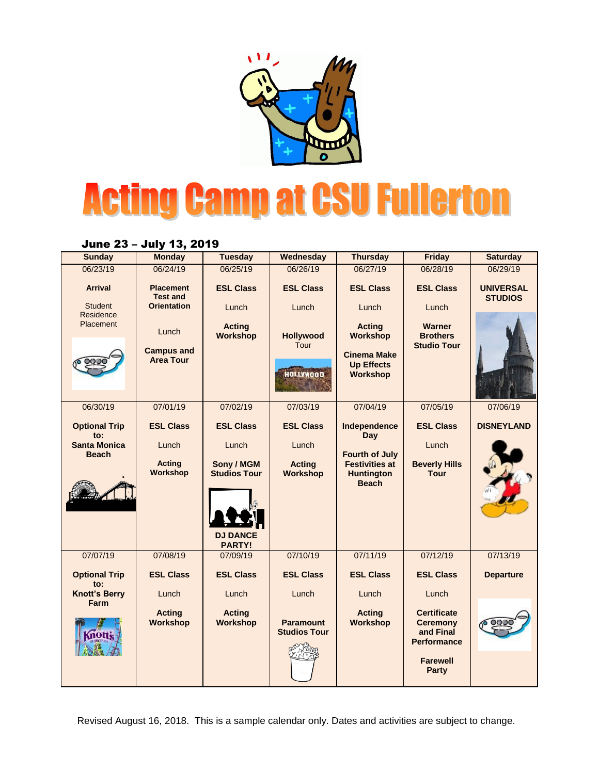

## **Acting Camp at CSU Fullerton**

## June 23 – July 13, 2019

| <b>Sunday</b>                       | <b>Monday</b>                         | <b>Tuesday</b>                                          | Wednesday                               | <b>Thursday</b>                                            | <b>Friday</b>                                                                               | <b>Saturday</b>                    |
|-------------------------------------|---------------------------------------|---------------------------------------------------------|-----------------------------------------|------------------------------------------------------------|---------------------------------------------------------------------------------------------|------------------------------------|
| 06/23/19                            | 06/24/19                              | 06/25/19                                                | 06/26/19                                | 06/27/19                                                   | 06/28/19                                                                                    | 06/29/19                           |
| <b>Arrival</b>                      | <b>Placement</b><br><b>Test and</b>   | <b>ESL Class</b>                                        | <b>ESL Class</b>                        | <b>ESL Class</b>                                           | <b>ESL Class</b>                                                                            | <b>UNIVERSAL</b><br><b>STUDIOS</b> |
| <b>Student</b><br>Residence         | <b>Orientation</b>                    | Lunch                                                   | Lunch                                   | Lunch                                                      | Lunch                                                                                       |                                    |
| Placement                           | Lunch                                 | <b>Acting</b><br>Workshop                               | <b>Hollywood</b><br>Tour                | <b>Acting</b><br><b>Workshop</b>                           | <b>Warner</b><br><b>Brothers</b><br><b>Studio Tour</b>                                      |                                    |
|                                     | <b>Campus and</b><br><b>Area Tour</b> |                                                         | <b>HOLLYWOOD</b>                        | <b>Cinema Make</b><br><b>Up Effects</b><br><b>Workshop</b> |                                                                                             |                                    |
| 06/30/19                            | 07/01/19                              | 07/02/19                                                | 07/03/19                                | 07/04/19                                                   | 07/05/19                                                                                    | 07/06/19                           |
| <b>Optional Trip</b><br>to:         | <b>ESL Class</b>                      | <b>ESL Class</b>                                        | <b>ESL Class</b>                        | Independence<br><b>Day</b>                                 | <b>ESL Class</b>                                                                            | <b>DISNEYLAND</b>                  |
| <b>Santa Monica</b><br><b>Beach</b> | Lunch                                 | Lunch                                                   | Lunch                                   | <b>Fourth of July</b>                                      | Lunch                                                                                       |                                    |
|                                     | <b>Acting</b>                         | Sony / MGM                                              | <b>Acting</b>                           | <b>Festivities at</b>                                      | <b>Beverly Hills</b>                                                                        |                                    |
|                                     | Workshop                              | <b>Studios Tour</b><br><b>DJ DANCE</b><br><b>PARTY!</b> | Workshop                                | <b>Huntington</b><br><b>Beach</b>                          | <b>Tour</b>                                                                                 |                                    |
| 07/07/19                            | 07/08/19                              | 07/09/19                                                | 07/10/19                                | 07/11/19                                                   | 07/12/19                                                                                    | 07/13/19                           |
| <b>Optional Trip</b><br>to:         | <b>ESL Class</b>                      | <b>ESL Class</b>                                        | <b>ESL Class</b>                        | <b>ESL Class</b>                                           | <b>ESL Class</b>                                                                            | <b>Departure</b>                   |
| <b>Knott's Berry</b><br>Farm        | Lunch                                 | Lunch                                                   | Lunch                                   | Lunch                                                      | Lunch                                                                                       |                                    |
| மாக                                 | <b>Acting</b><br><b>Workshop</b>      | <b>Acting</b><br>Workshop                               | <b>Paramount</b><br><b>Studios Tour</b> | <b>Acting</b><br><b>Workshop</b>                           | <b>Certificate</b><br><b>Ceremony</b><br>and Final<br><b>Performance</b><br><b>Farewell</b> |                                    |
|                                     |                                       |                                                         |                                         |                                                            | <b>Party</b>                                                                                |                                    |

Revised August 16, 2018. This is a sample calendar only. Dates and activities are subject to change.